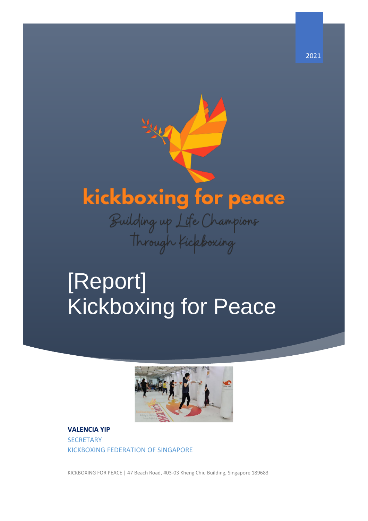# kickboxing for peace

Building up Life Champions<br>Through Kickboxing

## [Report] Kickboxing for Peace



**VALENCIA YIP SECRETARY** KICKBOXING FEDERATION OF SINGAPORE

KICKBOXING FOR PEACE | 47 Beach Road, #03-03 Kheng Chiu Building, Singapore 189683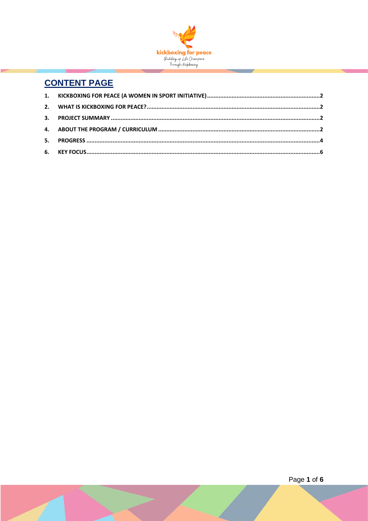

### **CONTENT PAGE**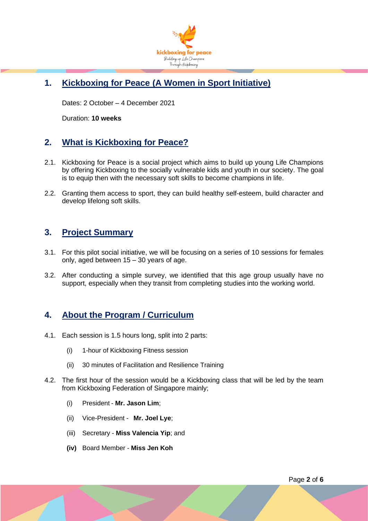

#### <span id="page-2-0"></span>**1. Kickboxing for Peace (A Women in Sport Initiative)**

Dates: 2 October – 4 December 2021

Duration: **10 weeks**

#### <span id="page-2-1"></span>**2. What is Kickboxing for Peace?**

- 2.1. Kickboxing for Peace is a social project which aims to build up young Life Champions by offering Kickboxing to the socially vulnerable kids and youth in our society. The goal is to equip then with the necessary soft skills to become champions in life.
- 2.2. Granting them access to sport, they can build healthy self-esteem, build character and develop lifelong soft skills.

#### <span id="page-2-2"></span>**3. Project Summary**

- 3.1. For this pilot social initiative, we will be focusing on a series of 10 sessions for females only, aged between 15 – 30 years of age.
- 3.2. After conducting a simple survey, we identified that this age group usually have no support, especially when they transit from completing studies into the working world.

#### <span id="page-2-3"></span>**4. About the Program / Curriculum**

- 4.1. Each session is 1.5 hours long, split into 2 parts:
	- (i) 1-hour of Kickboxing Fitness session
	- (ii) 30 minutes of Facilitation and Resilience Training
- 4.2. The first hour of the session would be a Kickboxing class that will be led by the team from Kickboxing Federation of Singapore mainly;
	- (i) President **Mr. Jason Lim**;
	- (ii) Vice-President **Mr. Joel Lye**;
	- (iii) Secretary **Miss Valencia Yip**; and
	- **(iv)** Board Member **Miss Jen Koh**

Page **2** of **6**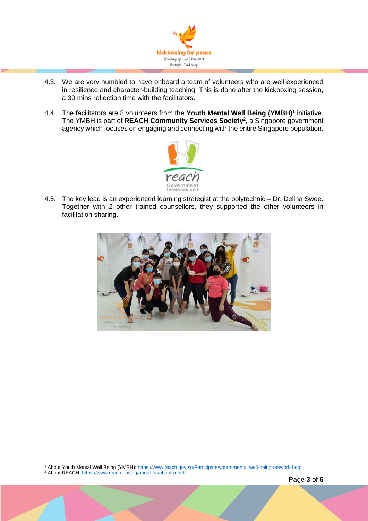

- 4.3. We are very humbled to have onboard a team of volunteers who are well experienced in resilience and character-building teaching. This is done after the kickboxing session, a 30 mins reflection time with the facilitators.
- 4.4. The facilitators are 8 volunteers from the **Youth Mental Well Being (YMBH)<sup>1</sup>** initiative. The YMBH is part of **REACH Community Services Society<sup>2</sup>** , a Singapore government agency which focuses on engaging and connecting with the entire Singapore population.



4.5. The key lead is an experienced learning strategist at the polytechnic – Dr. Delina Swee. Together with 2 other trained counsellors, they supported the other volunteers in facilitation sharing.



<sup>1</sup> About Youth Mental Well Being (YMBH):<https://www.reach.gov.sg/Participate/youth-mental-well-being-network-help>

<sup>&</sup>lt;sup>2</sup> About REACH[: https://www.reach.gov.sg/about-us/about-reach](https://www.reach.gov.sg/about-us/about-reach)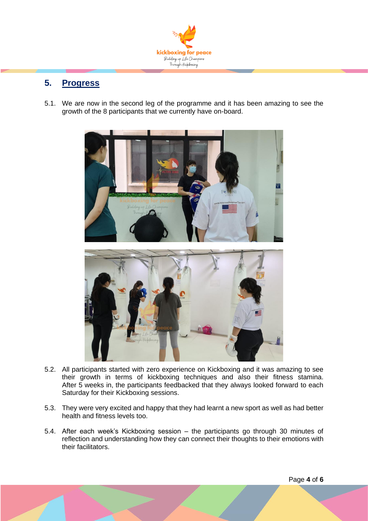

#### <span id="page-4-0"></span>**5. Progress**

5.1. We are now in the second leg of the programme and it has been amazing to see the growth of the 8 participants that we currently have on-board.



- 5.2. All participants started with zero experience on Kickboxing and it was amazing to see their growth in terms of kickboxing techniques and also their fitness stamina. After 5 weeks in, the participants feedbacked that they always looked forward to each Saturday for their Kickboxing sessions.
- 5.3. They were very excited and happy that they had learnt a new sport as well as had better health and fitness levels too.
- 5.4. After each week's Kickboxing session the participants go through 30 minutes of reflection and understanding how they can connect their thoughts to their emotions with their facilitators.

Page **4** of **6**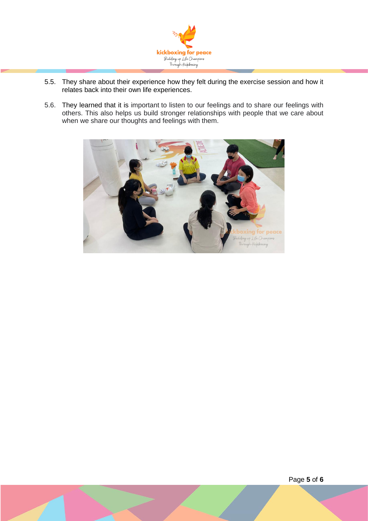

- 5.5. They share about their experience how they felt during the exercise session and how it relates back into their own life experiences.
- 5.6. They learned that it is important to listen to our feelings and to share our feelings with others. This also helps us build stronger relationships with people that we care about when we share our thoughts and feelings with them.